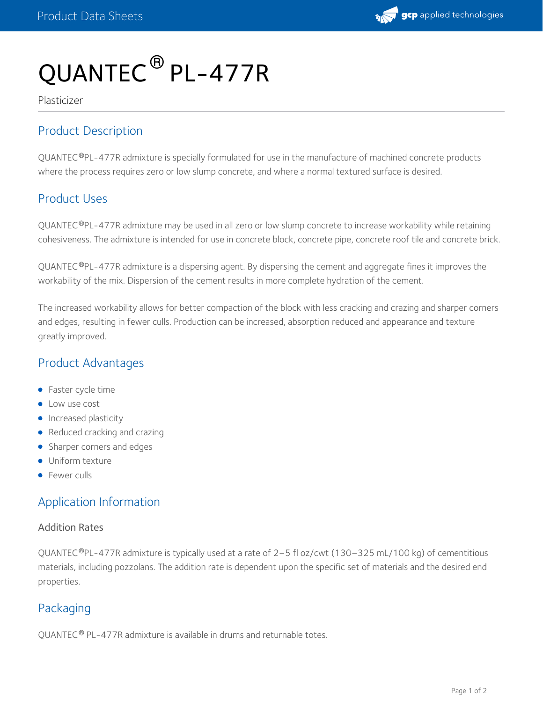

# QUANTEC ® PL-477R

Plasticizer

# Product Description

QUANTEC®PL-477R admixture is specially formulated for use in the manufacture of machined concrete products where the process requires zero or low slump concrete, and where a normal textured surface is desired.

## Product Uses

QUANTEC®PL-477R admixture may be used in all zero or low slump concrete to increase workability while retaining cohesiveness. The admixture is intended for use in concrete block, concrete pipe, concrete roof tile and concrete brick.

QUANTEC®PL-477R admixture is a dispersing agent. By dispersing the cement and aggregate fines it improves the workability of the mix. Dispersion of the cement results in more complete hydration of the cement.

The increased workability allows for better compaction of the block with less cracking and crazing and sharper corners and edges, resulting in fewer culls. Production can be increased, absorption reduced and appearance and texture greatly improved.

## Product Advantages

- **•** Faster cycle time
- **C** Low use cost
- **Increased plasticity**
- Reduced cracking and crazing
- Sharper corners and edges
- **Uniform texture**
- **•** Fewer culls

# Application Information

#### Addition Rates

QUANTEC®PL-477R admixture is typically used at a rate of 2–5 fl oz/cwt (130–325 mL/100 kg) of cementitious materials, including pozzolans. The addition rate is dependent upon the specific set of materials and the desired end properties.

# Packaging

QUANTEC® PL-477R admixture is available in drums and returnable totes.